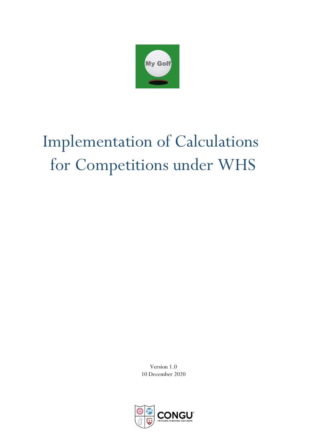

# $\mathbf{R}$ Implementation of Calculations for Competitions under WHS

Version 1.0 10 December 2020

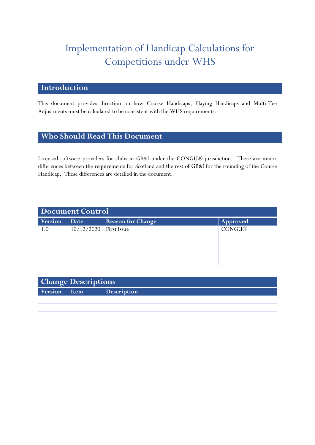## Implementation of Handicap Calculations for Competitions under WHS

#### **Introduction**

This document provides direction on how Course Handicaps, Playing Handicaps and Multi-Tee Adjustments must be calculated to be consistent with the WHS requirements.

#### **Who Should Read This Document**

Licensed software providers for clubs in GB&I under the CONGU® jurisdiction. There are minor differences between the requirements for Scotland and the rest of GB&I for the rounding of the Course Handicap. These differences are detailed in the document.

| <b>Document Control</b> |             |                          |               |
|-------------------------|-------------|--------------------------|---------------|
| Version                 | <b>Date</b> | <b>Reason for Change</b> | Approved      |
| 1.0                     | 10/12/2020  | <b>First Issue</b>       | <b>CONGU®</b> |
|                         |             |                          |               |
|                         |             |                          |               |
|                         |             |                          |               |
|                         |             |                          |               |

| <b>Change Descriptions</b> |  |                    |  |
|----------------------------|--|--------------------|--|
| Version   Item             |  | <b>Description</b> |  |
|                            |  |                    |  |
|                            |  |                    |  |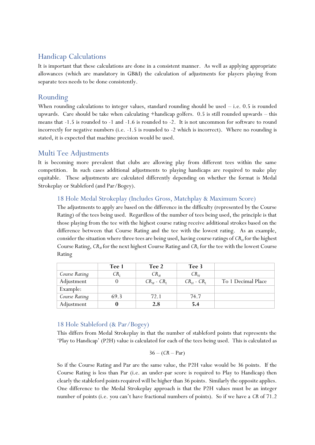## Handicap Calculations

It is important that these calculations are done in a consistent manner. As well as applying appropriate allowances (which are mandatory in GB&I) the calculation of adjustments for players playing from separate tees needs to be done consistently.

## Rounding

When rounding calculations to integer values, standard rounding should be used  $-$  i.e. 0.5 is rounded upwards. Care should be take when calculating +handicap golfers. 0.5 is still rounded upwards – this means that -1.5 is rounded to -1 and -1.6 is rounded to -2. It is not uncommon for software to round incorrectly for negative numbers (i.e. -1.5 is rounded to -2 which is incorrect). Where no rounding is stated, it is expected that machine precision would be used.

#### Multi Tee Adjustments

It is becoming more prevalent that clubs are allowing play from different tees within the same competition. In such cases additional adjustments to playing handicaps are required to make play equitable. These adjustments are calculated differently depending on whether the format is Medal Strokeplay or Stableford (and Par/Bogey).

#### 18 Hole Medal Strokeplay (Includes Gross, Matchplay & Maximum Score)

The adjustments to apply are based on the difference in the difficulty (represented by the Course Rating) of the tees being used. Regardless of the number of tees being used, the principle is that those playing from the tee with the highest course rating receive additional strokes based on the difference between that Course Rating and the tee with the lowest rating. As an example, consider the situation where three tees are being used, having course ratings of  $CR_H$  for the highest Course Rating, *CR<sup>M</sup>* for the next highest Course Rating and *CR<sup>L</sup>* for the tee with the lowest Course Rating

|               | Tee 1    | Tee 2                       | Tee 3               |                    |
|---------------|----------|-----------------------------|---------------------|--------------------|
| Course Rating | $CR_{I}$ | $CR_{\scriptscriptstyle M}$ | $CR_{H}$            |                    |
| Adjustment    |          | $CR_u$ - $CR_i$             | $CR_{H}$ - $CR_{I}$ | To 1 Decimal Place |
| Example:      |          |                             |                     |                    |
| Course Rating | 69.3     | 72.1                        | 74.7                |                    |
| Adjustment    |          | 2.8                         | 5.4                 |                    |

#### 18 Hole Stableford (& Par/Bogey)

This differs from Medal Strokeplay in that the number of stableford points that represents the 'Play to Handicap' (P2H) value is calculated for each of the tees being used. This is calculated as

$$
36 - (CR - Par)
$$

So if the Course Rating and Par are the same value, the P2H value would be 36 points. If the Course Rating is less than Par (i.e. an under-par score is required to Play to Handicap) then clearly the stableford points required will be higher than 36 points. Similarly the opposite applies. One difference to the Medal Strokeplay approach is that the P2H values must be an integer number of points (i.e. you can't have fractional numbers of points). So if we have a *CR* of 71.2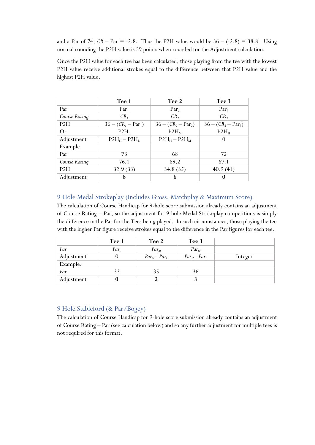and a Par of 74,  $CR - Par = -2.8$ . Thus the P2H value would be  $36 - (-2.8) = 38.8$ . Using normal rounding the P2H value is 39 points when rounded for the Adjustment calculation.

Once the P2H value for each tee has been calculated, those playing from the tee with the lowest P2H value receive additional strokes equal to the difference between that P2H value and the highest P2H value.

|               | Tee 1               | Tee 2                 | Tee 3                 |
|---------------|---------------------|-----------------------|-----------------------|
| Par           | Par <sub>1</sub>    | Par <sub>2</sub>      | Par <sub>3</sub>      |
| Course Rating | CR <sub>1</sub>     | CR <sub>2</sub>       | CR <sub>3</sub>       |
| P2H           | $36 - (CR1 - Par1)$ | $36 - (CR_2 - Par_2)$ | $36 - (CR_3 - Par_3)$ |
| Or            | P2H <sub>r</sub>    | P2H <sub>M</sub>      | P2H <sub>H</sub>      |
| Adjustment    | $P2H_H - P2H_L$     | $P2H_H - P2H_M$       | $\theta$              |
| Example       |                     |                       |                       |
| Par           | 73                  | 68                    | 72                    |
| Course Rating | 76.1                | 69.2                  | 67.1                  |
| P2H           | 32.9(33)            | 34.8(35)              | 40.9(41)              |
| Adjustment    | 8                   | 6                     | 0                     |

#### 9 Hole Medal Strokeplay (Includes Gross, Matchplay & Maximum Score)

The calculation of Course Handicap for 9-hole score submission already contains an adjustment of Course Rating – Par, so the adjustment for 9-hole Medal Strokeplay competitions is simply the difference in the Par for the Tees being played. In such circumstances, those playing the tee with the higher Par figure receive strokes equal to the difference in the Par figures for each tee.

|            | Tee 1            | Tee 2             | Tee 3             |         |
|------------|------------------|-------------------|-------------------|---------|
| Par        | Par <sub>L</sub> | $Par_{M}$         | $Par_{H}$         |         |
| Adjustment |                  | $Par_M$ - $Par_L$ | $Par_H$ - $Par_L$ | Integer |
| Example:   |                  |                   |                   |         |
| Par        | 33               | 35                | 36                |         |
| Adjustment |                  |                   |                   |         |

#### 9 Hole Stableford (& Par/Bogey)

The calculation of Course Handicap for 9-hole score submission already contains an adjustment of Course Rating – Par (see calculation below) and so any further adjustment for multiple tees is not required for this format.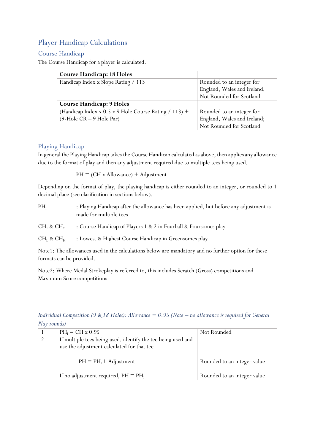## Player Handicap Calculations

#### Course Handicap

The Course Handicap for a player is calculated:

| <b>Course Handicap: 18 Holes</b>                      |                             |
|-------------------------------------------------------|-----------------------------|
| Handicap Index x Slope Rating / 113                   | Rounded to an integer for   |
|                                                       | England, Wales and Ireland; |
|                                                       | Not Rounded for Scotland    |
| <b>Course Handicap: 9 Holes</b>                       |                             |
| (Handicap Index x 0.5 x 9 Hole Course Rating / 113) + | Rounded to an integer for   |
| $(9-Hole CR - 9 Hole Par)$                            | England, Wales and Ireland; |
|                                                       | Not Rounded for Scotland    |

#### Playing Handicap

In general the Playing Handicap takes the Course Handicap calculated as above, then applies any allowance due to the format of play and then any adjustment required due to multiple tees being used.

 $PH = (CH x$  Allowance) + Adjustment

Depending on the format of play, the playing handicap is either rounded to an integer, or rounded to 1 decimal place (see clarification in sections below).

PH<sub>I</sub> : Playing Handicap after the allowance has been applied, but before any adjustment is made for multiple tees

 $CH<sub>1</sub>$  &  $CH<sub>2</sub>$ : Course Handicap of Players 1 & 2 in Fourball & Foursomes play

 $CH<sub>L</sub>$  &  $CH<sub>H</sub>$  : Lowest & Highest Course Handicap in Greensomes play

Note1: The allowances used in the calculations below are mandatory and no further option for these formats can be provided.

Note2: Where Medal Strokeplay is referred to, this includes Scratch (Gross) competitions and Maximum Score competitions.

*Play rounds)*  $1$  PH<sub>I</sub> = CH x 0.95 Not Rounded

*Individual Competition (9 & 18 Holes): Allowance* = 0.95 *(Note – no allowance is required for General* 

| If multiple tees being used, identify the tee being used and<br>use the adjustment calculated for that tee |                             |
|------------------------------------------------------------------------------------------------------------|-----------------------------|
| $PH = PHI + Adjustment$                                                                                    | Rounded to an integer value |
| If no adjustment required, $PH = PH1$                                                                      | Rounded to an integer value |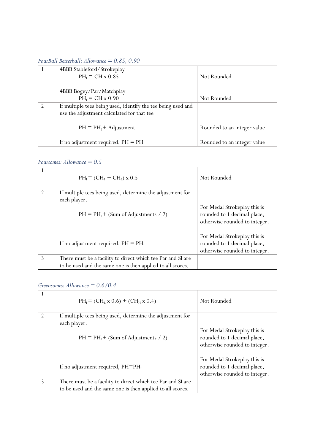*FourBall Betterball: Allowance = 0.85, 0.90*

|   | 4BBB Stableford/Strokeplay                                   |                             |
|---|--------------------------------------------------------------|-----------------------------|
|   | $PH_1 = CH x 0.85$                                           | Not Rounded                 |
|   |                                                              |                             |
|   | 4BBB Bogey/Par/Matchplay                                     |                             |
|   | $PH_1 = CH x 0.90$                                           | Not Rounded                 |
| 2 | If multiple tees being used, identify the tee being used and |                             |
|   | use the adjustment calculated for that tee                   |                             |
|   |                                                              |                             |
|   | $PH = PHI + Adjustment$                                      | Rounded to an integer value |
|   |                                                              |                             |
|   | If no adjustment required, $PH = PHI$                        | Rounded to an integer value |

#### *Foursomes: Allowance = 0.5*

|                | $PH_I = (CH_1 + CH_2) \times 0.5$                                                                                         | Not Rounded                                                                                  |
|----------------|---------------------------------------------------------------------------------------------------------------------------|----------------------------------------------------------------------------------------------|
| $\mathfrak{D}$ | If multiple tees being used, determine the adjustment for<br>each player.<br>$PH = PHI + (Sum of Adjustments / 2)$        | For Medal Strokeplay this is<br>rounded to 1 decimal place,<br>otherwise rounded to integer. |
|                | If no adjustment required, $PH = PH1$                                                                                     | For Medal Strokeplay this is<br>rounded to 1 decimal place,<br>otherwise rounded to integer. |
| 3              | There must be a facility to direct which tee Par and SI are<br>to be used and the same one is then applied to all scores. |                                                                                              |

#### *Greensomes: Allowance = 0.6/0.4*

|                | $PH_I = (CH_I x 0.6) + (CH_H x 0.4)$                                                                                      | Not Rounded                                                                                  |
|----------------|---------------------------------------------------------------------------------------------------------------------------|----------------------------------------------------------------------------------------------|
| $\mathfrak{D}$ | If multiple tees being used, determine the adjustment for<br>each player.<br>$PH = PHI + (Sum of Adjustments / 2)$        | For Medal Strokeplay this is<br>rounded to 1 decimal place,<br>otherwise rounded to integer. |
|                | If no adjustment required, $PH=PH1$                                                                                       | For Medal Strokeplay this is<br>rounded to 1 decimal place,<br>otherwise rounded to integer. |
| 3              | There must be a facility to direct which tee Par and SI are<br>to be used and the same one is then applied to all scores. |                                                                                              |
|                |                                                                                                                           |                                                                                              |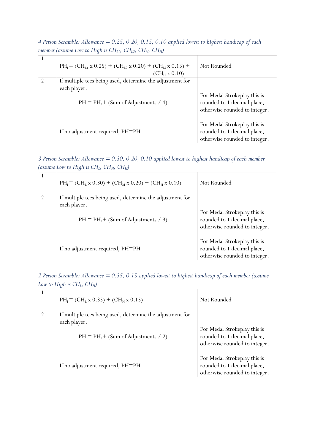|                | $\ldots$ assume so $\ldots$ for $\ldots$ $\ldots$ $\ldots$ $\ldots$ $\ldots$ $\ldots$ $\ldots$                     |                                                                                                                               |
|----------------|--------------------------------------------------------------------------------------------------------------------|-------------------------------------------------------------------------------------------------------------------------------|
|                | $PH_I = (CH_{I.1} \times 0.25) + (CH_{L2} \times 0.20) + (CH_M \times 0.15) +$<br>$(CH_H x 0.10)$                  | Not Rounded                                                                                                                   |
| $\mathfrak{D}$ | If multiple tees being used, determine the adjustment for<br>each player.<br>$PH = PHI + (Sum of Adjustments / 4)$ | For Medal Strokeplay this is<br>rounded to 1 decimal place,                                                                   |
|                | If no adjustment required, $PH=PH_1$                                                                               | otherwise rounded to integer.<br>For Medal Strokeplay this is<br>rounded to 1 decimal place,<br>otherwise rounded to integer. |

*4 Person Scramble: Allowance = 0.25, 0.20, 0.15, 0.10 applied lowest to highest handicap of each member (assume Low to High is*  $CH_{11}$ *,*  $CH_{12}$ *,*  $CH_{M}$ *,*  $CH_{H}$ *)* 

*3 Person Scramble: Allowance = 0.30, 0.20, 0.10 applied lowest to highest handicap of each member (assume Low to High is CHL, CHM, CHH)*

|                | $PH_I = (CH_L x 0.30) + (CH_M x 0.20) + (CH_H x 0.10)$    | Not Rounded                   |
|----------------|-----------------------------------------------------------|-------------------------------|
| $\mathfrak{D}$ | If multiple tees being used, determine the adjustment for |                               |
|                | each player.                                              |                               |
|                |                                                           | For Medal Strokeplay this is  |
|                | $PH = PHI + (Sum of Adjustments / 3)$                     | rounded to 1 decimal place,   |
|                |                                                           | otherwise rounded to integer. |
|                |                                                           |                               |
|                |                                                           | For Medal Strokeplay this is  |
|                | If no adjustment required, $PH=PH_I$                      | rounded to 1 decimal place,   |
|                |                                                           | otherwise rounded to integer. |

*2 Person Scramble: Allowance = 0.35, 0.15 applied lowest to highest handicap of each member (assume Low to High is CHL, CHH)*

|               | $PH_I = (CH_I x 0.35) + (CH_H x 0.15)$                                    | Not Rounded                                                                                  |
|---------------|---------------------------------------------------------------------------|----------------------------------------------------------------------------------------------|
| $\mathcal{D}$ | If multiple tees being used, determine the adjustment for<br>each player. |                                                                                              |
|               | $PH = PH1 + (Sum of Adjustments / 2)$                                     | For Medal Strokeplay this is<br>rounded to 1 decimal place,<br>otherwise rounded to integer. |
|               | If no adjustment required, $PH=PH_I$                                      | For Medal Strokeplay this is<br>rounded to 1 decimal place,<br>otherwise rounded to integer. |